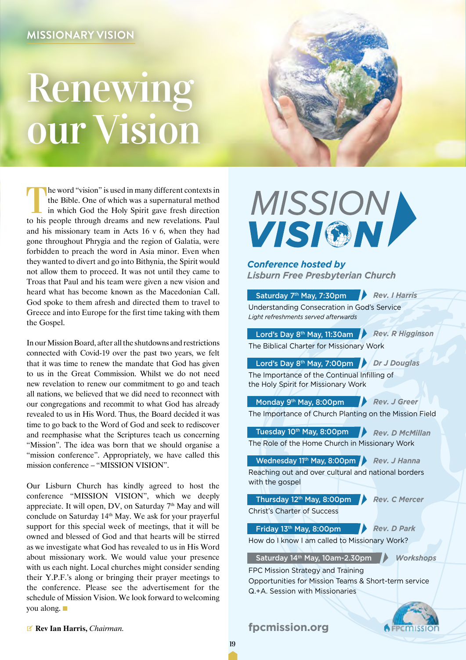## Renewing our Vision



The word "vision" is used in many different contexts in the Bible. One of which was a supernatural method in which God the Holy Spirit gave fresh direction to his people through dreams and new revelations. Paul and his missionary team in Acts 16 v 6, when they had gone throughout Phrygia and the region of Galatia, were forbidden to preach the word in Asia minor. Even when they wanted to divert and go into Bithynia, the Spirit would not allow them to proceed. It was not until they came to Troas that Paul and his team were given a new vision and heard what has become known as the Macedonian Call. God spoke to them afresh and directed them to travel to Greece and into Europe for the first time taking with them the Gospel.

In our Mission Board, after all the shutdowns and restrictions connected with Covid-19 over the past two years, we felt that it was time to renew the mandate that God has given to us in the Great Commission. Whilst we do not need new revelation to renew our commitment to go and teach all nations, we believed that we did need to reconnect with our congregations and recommit to what God has already revealed to us in His Word. Thus, the Board decided it was time to go back to the Word of God and seek to rediscover and reemphasise what the Scriptures teach us concerning "Mission". The idea was born that we should organise a "mission conference". Appropriately, we have called this mission conference – "MISSION VISION".

Our Lisburn Church has kindly agreed to host the conference "MISSION VISION", which we deeply appreciate. It will open, DV, on Saturday  $7<sup>th</sup>$  May and will conclude on Saturday 14th May. We ask for your prayerful support for this special week of meetings, that it will be owned and blessed of God and that hearts will be stirred as we investigate what God has revealed to us in His Word about missionary work. We would value your presence with us each night. Local churches might consider sending their Y.P.F.'s along or bringing their prayer meetings to the conference. Please see the advertisement for the schedule of Mission Vision. We look forward to welcoming you along.

## **MISSIONA**

*Conference hosted by Lisburn Free Presbyterian Church*

| Saturday 7 <sup>th</sup> May, 7:30pm<br><b>Rev. I Harris</b>                        |
|-------------------------------------------------------------------------------------|
| Understanding Consecration in God's Service                                         |
| Light refreshments served afterwards                                                |
|                                                                                     |
| Lord's Day 8 <sup>th</sup> May, 11:30am<br><b>Rev. R Higginson</b>                  |
| The Biblical Charter for Missionary Work                                            |
| Lord's Day 8 <sup>th</sup> May, 7:00pm D Dr J Douglas                               |
|                                                                                     |
| The Importance of the Continual Infilling of<br>the Holy Spirit for Missionary Work |
|                                                                                     |
| Monday 9 <sup>th</sup> May, 8:00pm Rev. J Greer                                     |
| The Importance of Church Planting on the Mission Field                              |
|                                                                                     |
| Tuesday 10 <sup>th</sup> May, 8:00pm Rev. D McMillan                                |
| The Role of the Home Church in Missionary Work                                      |
|                                                                                     |
| Wednesday 11 <sup>th</sup> May, 8:00pm Rev. J Hanna                                 |
| Reaching out and over cultural and national borders<br>with the gospel              |
|                                                                                     |
| Thursday 12 <sup>th</sup> May, 8:00pm   Rev. C Mercer                               |
| <b>Christ's Charter of Success</b>                                                  |
|                                                                                     |
| Friday 13 <sup>th</sup> May, 8:00pm Rev. D Park                                     |
| How do I know I am called to Missionary Work?                                       |
|                                                                                     |
| Saturday 14th May, 10am-2.30pm<br><b>Workshops</b>                                  |
| FPC Mission Strategy and Training                                                   |
| Opportunities for Mission Teams & Short-term service                                |
| Q.+A. Session with Missionaries                                                     |
|                                                                                     |
|                                                                                     |
| fpcmission.org<br>missi                                                             |

V **Rev Ian Harris,** *Chairman.*

#### **fpcmission.org**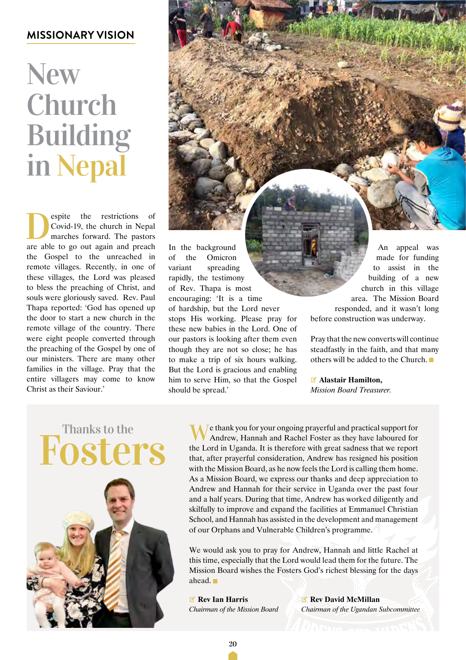## **New** Church Building in Nepal

Septie the restrictions of<br>Covid-19, the church in Nepal<br>marches forward. The pastors<br>are able to go out again and preach Covid-19, the church in Nepal marches forward. The pastors are able to go out again and preach the Gospel to the unreached in remote villages. Recently, in one of these villages, the Lord was pleased to bless the preaching of Christ, and souls were gloriously saved. Rev. Paul Thapa reported: 'God has opened up the door to start a new church in the remote village of the country. There were eight people converted through the preaching of the Gospel by one of our ministers. There are many other families in the village. Pray that the entire villagers may come to know Christ as their Saviour.'

In the background of the Omicron variant spreading rapidly, the testimony of Rev. Thapa is most encouraging: 'It is a time of hardship, but the Lord never stops His working. Please pray for these new babies in the Lord. One of our pastors is looking after them even though they are not so close; he has to make a trip of six hours walking. But the Lord is gracious and enabling An appeal was made for funding to assist in the building of a new church in this village area. The Mission Board responded, and it wasn't long before construction was underway. Pray that the new converts will continue steadfastly in the faith, and that many others will be added to the Church.

> V **Alastair Hamilton,** *Mission Board Treasurer.*

### Fosters Thanks to the



We thank you for your ongoing prayerful and practical support for Andrew, Hannah and Rachel Foster as they have laboured for the Lord in Uganda. It is therefore with great sadness that we report that, after prayerful consideration, Andrew has resigned his position with the Mission Board, as he now feels the Lord is calling them home. As a Mission Board, we express our thanks and deep appreciation to Andrew and Hannah for their service in Uganda over the past four and a half years. During that time, Andrew has worked diligently and skilfully to improve and expand the facilities at Emmanuel Christian School, and Hannah has assisted in the development and management of our Orphans and Vulnerable Children's programme.

We would ask you to pray for Andrew, Hannah and little Rachel at this time, especially that the Lord would lead them for the future. The Mission Board wishes the Fosters God's richest blessing for the days ahead.

V **Rev Ian Harris** *Chairman of the Mission Board*

him to serve Him, so that the Gospel

should be spread.'

V **Rev David McMillan** *Chairman of the Ugandan Subcommittee*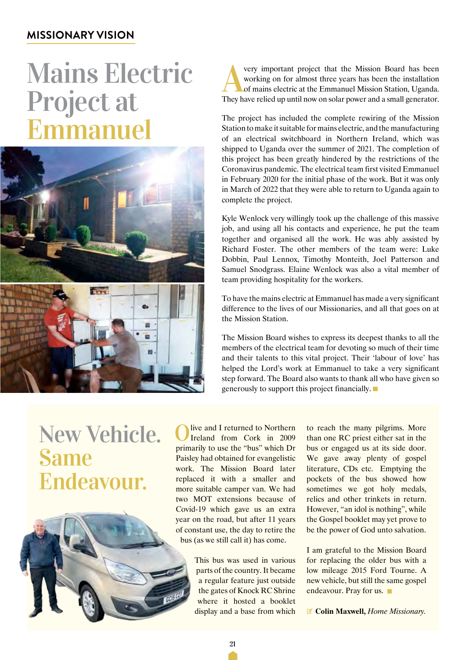## Mains Electric Project at Emmanuel





very important project that the Mission Board has been working on for almost three years has been the installation of mains electric at the Emmanuel Mission Station, Uganda. They have relied up until now on solar power and a small generator.

The project has included the complete rewiring of the Mission Station to make it suitable for mains electric, and the manufacturing of an electrical switchboard in Northern Ireland, which was shipped to Uganda over the summer of 2021. The completion of this project has been greatly hindered by the restrictions of the Coronavirus pandemic. The electrical team first visited Emmanuel in February 2020 for the initial phase of the work. But it was only in March of 2022 that they were able to return to Uganda again to complete the project.

Kyle Wenlock very willingly took up the challenge of this massive job, and using all his contacts and experience, he put the team together and organised all the work. He was ably assisted by Richard Foster. The other members of the team were: Luke Dobbin, Paul Lennox, Timothy Monteith, Joel Patterson and Samuel Snodgrass. Elaine Wenlock was also a vital member of team providing hospitality for the workers.

To have the mains electric at Emmanuel has made a very significant difference to the lives of our Missionaries, and all that goes on at the Mission Station.

The Mission Board wishes to express its deepest thanks to all the members of the electrical team for devoting so much of their time and their talents to this vital project. Their 'labour of love' has helped the Lord's work at Emmanuel to take a very significant step forward. The Board also wants to thank all who have given so generously to support this project financially.

## New Vehicle. **Same** Endeavour.



live and I returned to Northern Ireland from Cork in 2009 primarily to use the "bus" which Dr Paisley had obtained for evangelistic work. The Mission Board later replaced it with a smaller and more suitable camper van. We had two MOT extensions because of Covid-19 which gave us an extra year on the road, but after 11 years of constant use, the day to retire the bus (as we still call it) has come.

> This bus was used in various parts of the country. It became a regular feature just outside the gates of Knock RC Shrine where it hosted a booklet display and a base from which

to reach the many pilgrims. More than one RC priest either sat in the bus or engaged us at its side door. We gave away plenty of gospel literature, CDs etc. Emptying the pockets of the bus showed how sometimes we got holy medals, relics and other trinkets in return. However, "an idol is nothing", while the Gospel booklet may yet prove to be the power of God unto salvation.

I am grateful to the Mission Board for replacing the older bus with a low mileage 2015 Ford Tourne. A new vehicle, but still the same gospel endeavour. Pray for us.

V **Colin Maxwell,** *Home Missionary.*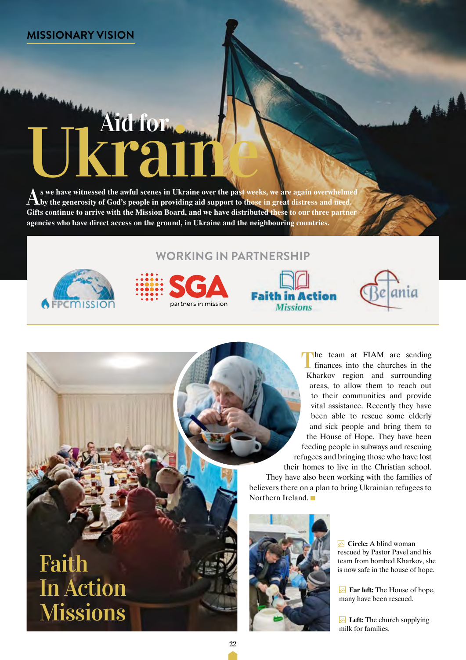# S a see have witnessed the awful scenes in Ukraine over the past weeks, we are again overwhelmed

A s we have witnessed the awful scenes in Ukraine over the past weeks, we are again overwhelmed by the generosity of God's people in providing aid support to those in great distress and need. **Gifts continue to arrive with the Mission Board, and we have distributed these to our three partner agencies who have direct access on the ground, in Ukraine and the neighbouring countries.**



#### **Working in Partnership**







ania

They have also been working with the families of believers there on a plan to bring Ukrainian refugees to Northern Ireland.



**Circle:** A blind woman rescued by Pastor Pavel and his team from bombed Kharkov, she is now safe in the house of hope.

**Far left:** The House of hope, many have been rescued.

**Left:** The church supplying milk for families.

## Faith In Action **Missions**